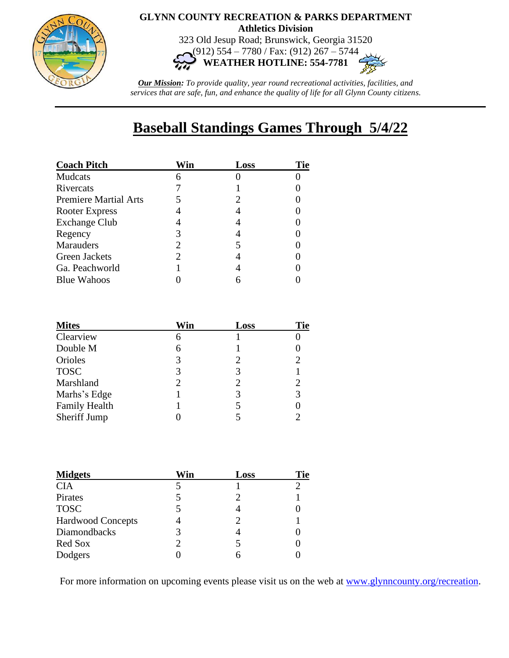

## **GLYNN COUNTY RECREATION & PARKS DEPARTMENT Athletics Division**

323 Old Jesup Road; Brunswick, Georgia 31520 (912) 554 – 7780 / Fax: (912) 267 – 5744

**WEATHER HOTLINE: 554-7781**

*Our Mission: To provide quality, year round recreational activities, facilities, and services that are safe, fun, and enhance the quality of life for all Glynn County citizens.*

## **Baseball Standings Games Through 5/4/22**

| <b>Coach Pitch</b>           | √in | Loss | Tie |
|------------------------------|-----|------|-----|
| Mudcats                      |     |      |     |
| Rivercats                    |     |      |     |
| <b>Premiere Martial Arts</b> |     |      |     |
| Rooter Express               |     |      |     |
| <b>Exchange Club</b>         |     |      |     |
| Regency                      | 3   |      |     |
| Marauders                    |     |      |     |
| <b>Green Jackets</b>         |     |      |     |
| Ga. Peachworld               |     |      |     |
| <b>Blue Wahoos</b>           |     |      |     |

| <b>Mites</b>         | Win | Loss                  | Tie |
|----------------------|-----|-----------------------|-----|
| Clearview            | 6   |                       |     |
| Double M             | 6   |                       |     |
| Orioles              | 3   | $\mathcal{D}_{\cdot}$ |     |
| <b>TOSC</b>          | 3   | 3                     |     |
| Marshland            | 2   |                       |     |
| Marhs's Edge         |     |                       |     |
| <b>Family Health</b> |     |                       |     |
| Sheriff Jump         |     |                       |     |

| <b>Midgets</b>           | Win | Loss | Tie |
|--------------------------|-----|------|-----|
| <b>CIA</b>               |     |      |     |
| Pirates                  |     |      |     |
| <b>TOSC</b>              |     |      |     |
| <b>Hardwood Concepts</b> |     |      |     |
| Diamondbacks             | 3   |      |     |
| Red Sox                  | 2   | 5    |     |
| Dodgers                  |     |      |     |

For more information on upcoming events please visit us on the web at [www.glynncounty.org/recreation.](http://www.glynncounty.org/recreation)